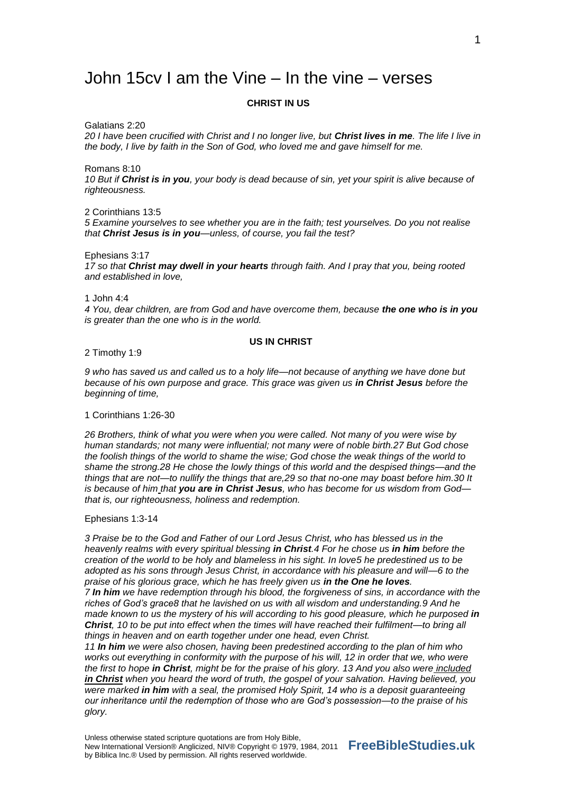# John 15cv I am the Vine – In the vine – verses

## **CHRIST IN US**

Galatians 2:20

*20 I have been crucified with Christ and I no longer live, but Christ lives in me. The life I live in the body, I live by faith in the Son of God, who loved me and gave himself for me.*

Romans 8:10

*10 But if Christ is in you, your body is dead because of sin, yet your spirit is alive because of righteousness.*

2 Corinthians 13:5

*5 Examine yourselves to see whether you are in the faith; test yourselves. Do you not realise that Christ Jesus is in you—unless, of course, you fail the test?*

Ephesians 3:17

*17 so that Christ may dwell in your hearts through faith. And I pray that you, being rooted and established in love,*

1 John 4:4

*4 You, dear children, are from God and have overcome them, because the one who is in you is greater than the one who is in the world.*

# **US IN CHRIST**

2 Timothy 1:9

*9 who has saved us and called us to a holy life—not because of anything we have done but because of his own purpose and grace. This grace was given us in Christ Jesus before the beginning of time,*

1 Corinthians 1:26-30

*26 Brothers, think of what you were when you were called. Not many of you were wise by human standards; not many were influential; not many were of noble birth.27 But God chose the foolish things of the world to shame the wise; God chose the weak things of the world to shame the strong.28 He chose the lowly things of this world and the despised things—and the things that are not—to nullify the things that are,29 so that no-one may boast before him.30 It is because of him that you are in Christ Jesus, who has become for us wisdom from God that is, our righteousness, holiness and redemption.*

Ephesians 1:3-14

*3 Praise be to the God and Father of our Lord Jesus Christ, who has blessed us in the heavenly realms with every spiritual blessing in Christ.4 For he chose us in him before the creation of the world to be holy and blameless in his sight. In love5 he predestined us to be adopted as his sons through Jesus Christ, in accordance with his pleasure and will—6 to the praise of his glorious grace, which he has freely given us in the One he loves.*

*7 In him we have redemption through his blood, the forgiveness of sins, in accordance with the riches of God's grace8 that he lavished on us with all wisdom and understanding.9 And he made known to us the mystery of his will according to his good pleasure, which he purposed in Christ, 10 to be put into effect when the times will have reached their fulfilment—to bring all things in heaven and on earth together under one head, even Christ.*

*11 In him we were also chosen, having been predestined according to the plan of him who works out everything in conformity with the purpose of his will, 12 in order that we, who were the first to hope in Christ, might be for the praise of his glory. 13 And you also were included in Christ when you heard the word of truth, the gospel of your salvation. Having believed, you were marked in him with a seal, the promised Holy Spirit, 14 who is a deposit guaranteeing our inheritance until the redemption of those who are God's possession—to the praise of his glory.*